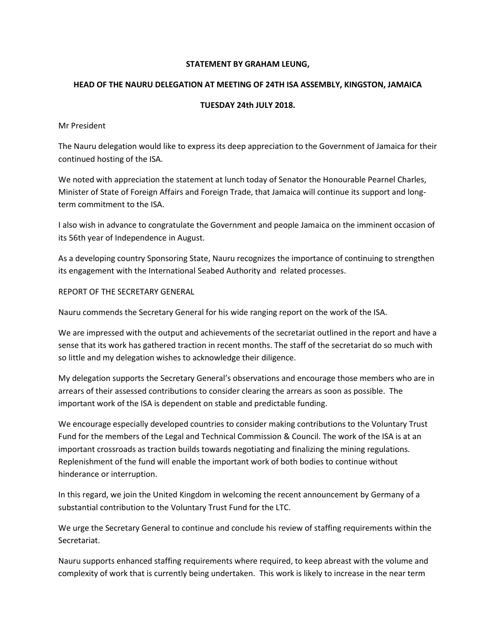# **STATEMENT BY GRAHAM LEUNG,**

## **HEAD OF THE NAURU DELEGATION AT MEETING OF 24TH ISA ASSEMBLY, KINGSTON, JAMAICA**

# **TUESDAY 24th JULY 2018.**

#### Mr President

The Nauru delegation would like to express its deep appreciation to the Government of Jamaica for their continued hosting of the ISA.

We noted with appreciation the statement at lunch today of Senator the Honourable Pearnel Charles, Minister of State of Foreign Affairs and Foreign Trade, that Jamaica will continue its support and longterm commitment to the ISA.

I also wish in advance to congratulate the Government and people Jamaica on the imminent occasion of its 56th year of Independence in August.

As a developing country Sponsoring State, Nauru recognizes the importance of continuing to strengthen its engagement with the International Seabed Authority and related processes.

## REPORT OF THE SECRETARY GENERAL

Nauru commends the Secretary General for his wide ranging report on the work of the ISA.

We are impressed with the output and achievements of the secretariat outlined in the report and have a sense that its work has gathered traction in recent months. The staff of the secretariat do so much with so little and my delegation wishes to acknowledge their diligence.

My delegation supports the Secretary General's observations and encourage those members who are in arrears of their assessed contributions to consider clearing the arrears as soon as possible. The important work of the ISA is dependent on stable and predictable funding.

We encourage especially developed countries to consider making contributions to the Voluntary Trust Fund for the members of the Legal and Technical Commission & Council. The work of the ISA is at an important crossroads as traction builds towards negotiating and finalizing the mining regulations. Replenishment of the fund will enable the important work of both bodies to continue without hinderance or interruption.

In this regard, we join the United Kingdom in welcoming the recent announcement by Germany of a substantial contribution to the Voluntary Trust Fund for the LTC.

We urge the Secretary General to continue and conclude his review of staffing requirements within the Secretariat.

Nauru supports enhanced staffing requirements where required, to keep abreast with the volume and complexity of work that is currently being undertaken. This work is likely to increase in the near term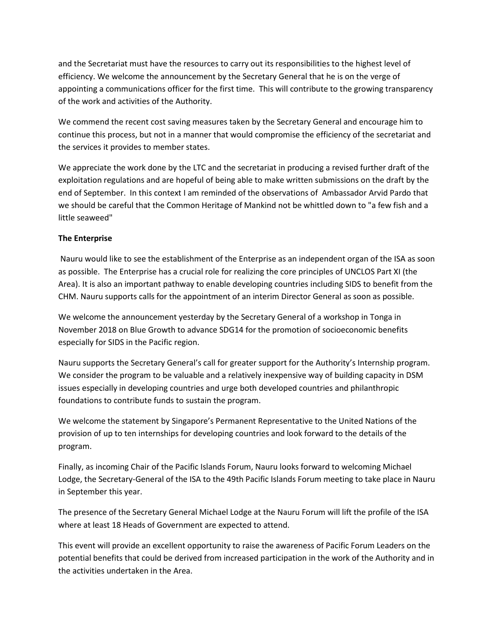and the Secretariat must have the resources to carry out its responsibilities to the highest level of efficiency. We welcome the announcement by the Secretary General that he is on the verge of appointing a communications officer for the first time. This will contribute to the growing transparency of the work and activities of the Authority.

We commend the recent cost saving measures taken by the Secretary General and encourage him to continue this process, but not in a manner that would compromise the efficiency of the secretariat and the services it provides to member states.

We appreciate the work done by the LTC and the secretariat in producing a revised further draft of the exploitation regulations and are hopeful of being able to make written submissions on the draft by the end of September. In this context I am reminded of the observations of Ambassador Arvid Pardo that we should be careful that the Common Heritage of Mankind not be whittled down to "a few fish and a little seaweed"

# **The Enterprise**

Nauru would like to see the establishment of the Enterprise as an independent organ of the ISA as soon as possible. The Enterprise has a crucial role for realizing the core principles of UNCLOS Part XI (the Area). It is also an important pathway to enable developing countries including SIDS to benefit from the CHM. Nauru supports calls for the appointment of an interim Director General as soon as possible.

We welcome the announcement yesterday by the Secretary General of a workshop in Tonga in November 2018 on Blue Growth to advance SDG14 for the promotion of socioeconomic benefits especially for SIDS in the Pacific region.

Nauru supports the Secretary General's call for greater support for the Authority's Internship program. We consider the program to be valuable and a relatively inexpensive way of building capacity in DSM issues especially in developing countries and urge both developed countries and philanthropic foundations to contribute funds to sustain the program.

We welcome the statement by Singapore's Permanent Representative to the United Nations of the provision of up to ten internships for developing countries and look forward to the details of the program.

Finally, as incoming Chair of the Pacific Islands Forum, Nauru looks forward to welcoming Michael Lodge, the Secretary-General of the ISA to the 49th Pacific Islands Forum meeting to take place in Nauru in September this year.

The presence of the Secretary General Michael Lodge at the Nauru Forum will lift the profile of the ISA where at least 18 Heads of Government are expected to attend.

This event will provide an excellent opportunity to raise the awareness of Pacific Forum Leaders on the potential benefits that could be derived from increased participation in the work of the Authority and in the activities undertaken in the Area.